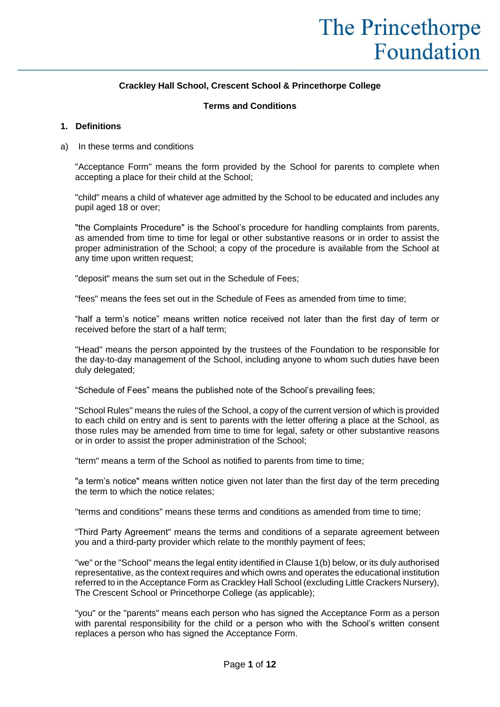# **Crackley Hall School, Crescent School & Princethorpe College**

#### **Terms and Conditions**

#### **1. Definitions**

a) In these terms and conditions

"Acceptance Form" means the form provided by the School for parents to complete when accepting a place for their child at the School;

"child" means a child of whatever age admitted by the School to be educated and includes any pupil aged 18 or over;

"the Complaints Procedure" is the School's procedure for handling complaints from parents, as amended from time to time for legal or other substantive reasons or in order to assist the proper administration of the School; a copy of the procedure is available from the School at any time upon written request;

"deposit" means the sum set out in the Schedule of Fees;

"fees" means the fees set out in the Schedule of Fees as amended from time to time;

"half a term's notice" means written notice received not later than the first day of term or received before the start of a half term;

"Head" means the person appointed by the trustees of the Foundation to be responsible for the day-to-day management of the School, including anyone to whom such duties have been duly delegated;

"Schedule of Fees" means the published note of the School's prevailing fees;

"School Rules" means the rules of the School, a copy of the current version of which is provided to each child on entry and is sent to parents with the letter offering a place at the School, as those rules may be amended from time to time for legal, safety or other substantive reasons or in order to assist the proper administration of the School;

"term" means a term of the School as notified to parents from time to time;

"a term's notice" means written notice given not later than the first day of the term preceding the term to which the notice relates;

"terms and conditions" means these terms and conditions as amended from time to time;

"Third Party Agreement" means the terms and conditions of a separate agreement between you and a third-party provider which relate to the monthly payment of fees;

"we" or the "School" means the legal entity identified in Clause 1(b) below, or its duly authorised representative, as the context requires and which owns and operates the educational institution referred to in the Acceptance Form as Crackley Hall School (excluding Little Crackers Nursery), The Crescent School or Princethorpe College (as applicable);

"you" or the "parents" means each person who has signed the Acceptance Form as a person with parental responsibility for the child or a person who with the School's written consent replaces a person who has signed the Acceptance Form.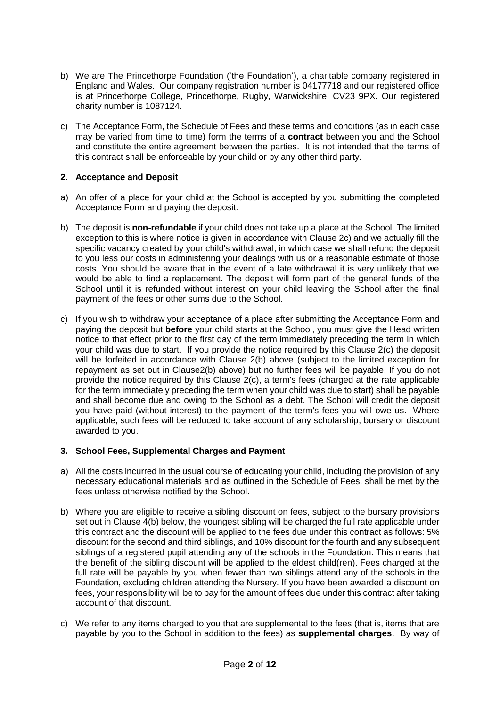- b) We are The Princethorpe Foundation ('the Foundation'), a charitable company registered in England and Wales. Our company registration number is 04177718 and our registered office is at Princethorpe College, Princethorpe, Rugby, Warwickshire, CV23 9PX. Our registered charity number is 1087124.
- c) The Acceptance Form, the Schedule of Fees and these terms and conditions (as in each case may be varied from time to time) form the terms of a **contract** between you and the School and constitute the entire agreement between the parties. It is not intended that the terms of this contract shall be enforceable by your child or by any other third party.

# **2. Acceptance and Deposit**

- a) An offer of a place for your child at the School is accepted by you submitting the completed Acceptance Form and paying the deposit.
- b) The deposit is **non-refundable** if your child does not take up a place at the School. The limited exception to this is where notice is given in accordance with Clause 2c) and we actually fill the specific vacancy created by your child's withdrawal, in which case we shall refund the deposit to you less our costs in administering your dealings with us or a reasonable estimate of those costs. You should be aware that in the event of a late withdrawal it is very unlikely that we would be able to find a replacement. The deposit will form part of the general funds of the School until it is refunded without interest on your child leaving the School after the final payment of the fees or other sums due to the School.
- c) If you wish to withdraw your acceptance of a place after submitting the Acceptance Form and paying the deposit but **before** your child starts at the School, you must give the Head written notice to that effect prior to the first day of the term immediately preceding the term in which your child was due to start. If you provide the notice required by this Clause 2(c) the deposit will be forfeited in accordance with Clause 2(b) above (subject to the limited exception for repayment as set out in Clause2(b) above) but no further fees will be payable. If you do not provide the notice required by this Clause 2(c), a term's fees (charged at the rate applicable for the term immediately preceding the term when your child was due to start) shall be payable and shall become due and owing to the School as a debt. The School will credit the deposit you have paid (without interest) to the payment of the term's fees you will owe us. Where applicable, such fees will be reduced to take account of any scholarship, bursary or discount awarded to you.

#### **3. School Fees, Supplemental Charges and Payment**

- a) All the costs incurred in the usual course of educating your child, including the provision of any necessary educational materials and as outlined in the Schedule of Fees, shall be met by the fees unless otherwise notified by the School.
- b) Where you are eligible to receive a sibling discount on fees, subject to the bursary provisions set out in Clause 4(b) below, the youngest sibling will be charged the full rate applicable under this contract and the discount will be applied to the fees due under this contract as follows: 5% discount for the second and third siblings, and 10% discount for the fourth and any subsequent siblings of a registered pupil attending any of the schools in the Foundation. This means that the benefit of the sibling discount will be applied to the eldest child(ren). Fees charged at the full rate will be payable by you when fewer than two siblings attend any of the schools in the Foundation, excluding children attending the Nursery. If you have been awarded a discount on fees, your responsibility will be to pay for the amount of fees due under this contract after taking account of that discount.
- c) We refer to any items charged to you that are supplemental to the fees (that is, items that are payable by you to the School in addition to the fees) as **supplemental charges**. By way of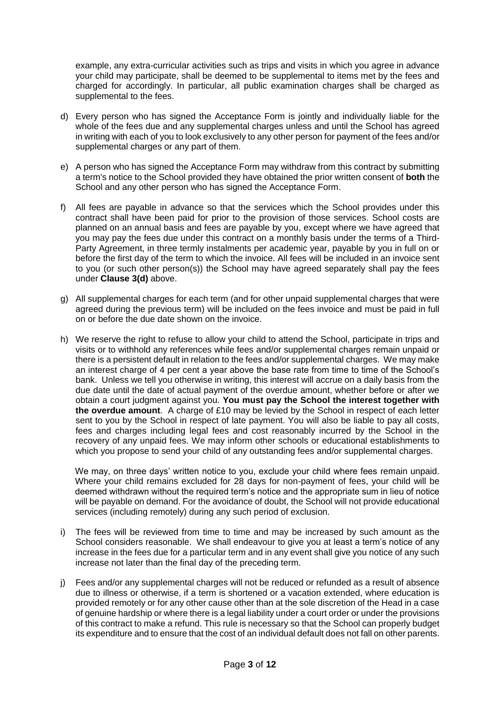example, any extra-curricular activities such as trips and visits in which you agree in advance your child may participate, shall be deemed to be supplemental to items met by the fees and charged for accordingly. In particular, all public examination charges shall be charged as supplemental to the fees.

- d) Every person who has signed the Acceptance Form is jointly and individually liable for the whole of the fees due and any supplemental charges unless and until the School has agreed in writing with each of you to look exclusively to any other person for payment of the fees and/or supplemental charges or any part of them.
- e) A person who has signed the Acceptance Form may withdraw from this contract by submitting a term's notice to the School provided they have obtained the prior written consent of **both** the School and any other person who has signed the Acceptance Form.
- f) All fees are payable in advance so that the services which the School provides under this contract shall have been paid for prior to the provision of those services. School costs are planned on an annual basis and fees are payable by you, except where we have agreed that you may pay the fees due under this contract on a monthly basis under the terms of a Third-Party Agreement, in three termly instalments per academic year, payable by you in full on or before the first day of the term to which the invoice. All fees will be included in an invoice sent to you (or such other person(s)) the School may have agreed separately shall pay the fees under **Clause 3(d)** above.
- g) All supplemental charges for each term (and for other unpaid supplemental charges that were agreed during the previous term) will be included on the fees invoice and must be paid in full on or before the due date shown on the invoice.
- h) We reserve the right to refuse to allow your child to attend the School, participate in trips and visits or to withhold any references while fees and/or supplemental charges remain unpaid or there is a persistent default in relation to the fees and/or supplemental charges. We may make an interest charge of 4 per cent a year above the base rate from time to time of the School's bank. Unless we tell you otherwise in writing, this interest will accrue on a daily basis from the due date until the date of actual payment of the overdue amount, whether before or after we obtain a court judgment against you. **You must pay the School the interest together with the overdue amount**. A charge of £10 may be levied by the School in respect of each letter sent to you by the School in respect of late payment. You will also be liable to pay all costs, fees and charges including legal fees and cost reasonably incurred by the School in the recovery of any unpaid fees. We may inform other schools or educational establishments to which you propose to send your child of any outstanding fees and/or supplemental charges.

We may, on three days' written notice to you, exclude your child where fees remain unpaid. Where your child remains excluded for 28 days for non-payment of fees, your child will be deemed withdrawn without the required term's notice and the appropriate sum in lieu of notice will be payable on demand. For the avoidance of doubt, the School will not provide educational services (including remotely) during any such period of exclusion.

- i) The fees will be reviewed from time to time and may be increased by such amount as the School considers reasonable. We shall endeavour to give you at least a term's notice of any increase in the fees due for a particular term and in any event shall give you notice of any such increase not later than the final day of the preceding term.
- j) Fees and/or any supplemental charges will not be reduced or refunded as a result of absence due to illness or otherwise, if a term is shortened or a vacation extended, where education is provided remotely or for any other cause other than at the sole discretion of the Head in a case of genuine hardship or where there is a legal liability under a court order or under the provisions of this contract to make a refund. This rule is necessary so that the School can properly budget its expenditure and to ensure that the cost of an individual default does not fall on other parents.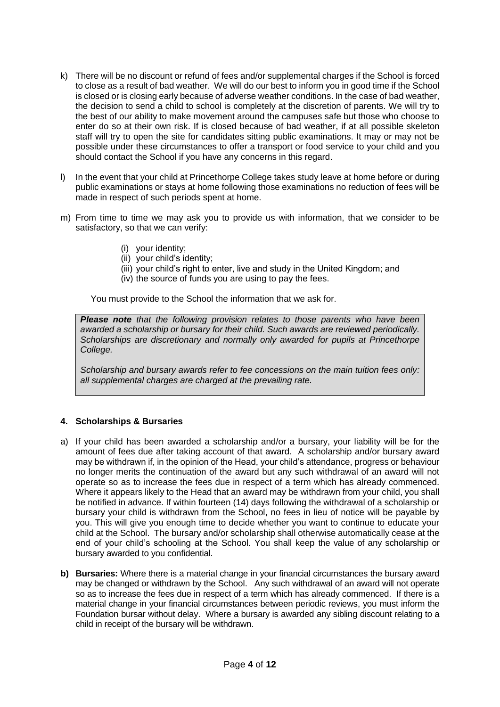- k) There will be no discount or refund of fees and/or supplemental charges if the School is forced to close as a result of bad weather. We will do our best to inform you in good time if the School is closed or is closing early because of adverse weather conditions. In the case of bad weather, the decision to send a child to school is completely at the discretion of parents. We will try to the best of our ability to make movement around the campuses safe but those who choose to enter do so at their own risk. If is closed because of bad weather, if at all possible skeleton staff will try to open the site for candidates sitting public examinations. It may or may not be possible under these circumstances to offer a transport or food service to your child and you should contact the School if you have any concerns in this regard.
- l) In the event that your child at Princethorpe College takes study leave at home before or during public examinations or stays at home following those examinations no reduction of fees will be made in respect of such periods spent at home.
- m) From time to time we may ask you to provide us with information, that we consider to be satisfactory, so that we can verify:
	- (i) your identity;
	- (ii) your child's identity;
	- (iii) your child's right to enter, live and study in the United Kingdom; and
	- (iv) the source of funds you are using to pay the fees.

You must provide to the School the information that we ask for.

*Please note that the following provision relates to those parents who have been awarded a scholarship or bursary for their child. Such awards are reviewed periodically. Scholarships are discretionary and normally only awarded for pupils at Princethorpe College.*

*Scholarship and bursary awards refer to fee concessions on the main tuition fees only: all supplemental charges are charged at the prevailing rate.*

# **4. Scholarships & Bursaries**

- a) If your child has been awarded a scholarship and/or a bursary, your liability will be for the amount of fees due after taking account of that award. A scholarship and/or bursary award may be withdrawn if, in the opinion of the Head, your child's attendance, progress or behaviour no longer merits the continuation of the award but any such withdrawal of an award will not operate so as to increase the fees due in respect of a term which has already commenced. Where it appears likely to the Head that an award may be withdrawn from your child, you shall be notified in advance. If within fourteen (14) days following the withdrawal of a scholarship or bursary your child is withdrawn from the School, no fees in lieu of notice will be payable by you. This will give you enough time to decide whether you want to continue to educate your child at the School. The bursary and/or scholarship shall otherwise automatically cease at the end of your child's schooling at the School. You shall keep the value of any scholarship or bursary awarded to you confidential.
- **b) Bursaries:** Where there is a material change in your financial circumstances the bursary award may be changed or withdrawn by the School. Any such withdrawal of an award will not operate so as to increase the fees due in respect of a term which has already commenced. If there is a material change in your financial circumstances between periodic reviews, you must inform the Foundation bursar without delay. Where a bursary is awarded any sibling discount relating to a child in receipt of the bursary will be withdrawn.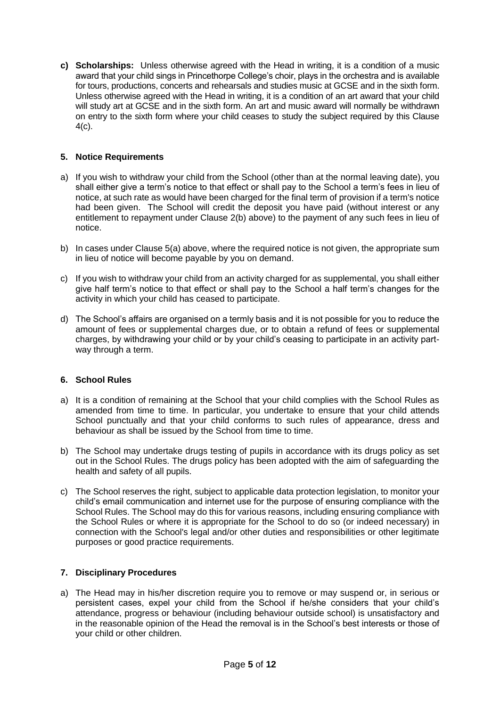**c) Scholarships:** Unless otherwise agreed with the Head in writing, it is a condition of a music award that your child sings in Princethorpe College's choir, plays in the orchestra and is available for tours, productions, concerts and rehearsals and studies music at GCSE and in the sixth form. Unless otherwise agreed with the Head in writing, it is a condition of an art award that your child will study art at GCSE and in the sixth form. An art and music award will normally be withdrawn on entry to the sixth form where your child ceases to study the subject required by this Clause 4(c).

# **5. Notice Requirements**

- a) If you wish to withdraw your child from the School (other than at the normal leaving date), you shall either give a term's notice to that effect or shall pay to the School a term's fees in lieu of notice, at such rate as would have been charged for the final term of provision if a term's notice had been given. The School will credit the deposit you have paid (without interest or any entitlement to repayment under Clause 2(b) above) to the payment of any such fees in lieu of notice.
- b) In cases under Clause 5(a) above, where the required notice is not given, the appropriate sum in lieu of notice will become payable by you on demand.
- c) If you wish to withdraw your child from an activity charged for as supplemental, you shall either give half term's notice to that effect or shall pay to the School a half term's changes for the activity in which your child has ceased to participate.
- d) The School's affairs are organised on a termly basis and it is not possible for you to reduce the amount of fees or supplemental charges due, or to obtain a refund of fees or supplemental charges, by withdrawing your child or by your child's ceasing to participate in an activity partway through a term.

# **6. School Rules**

- a) It is a condition of remaining at the School that your child complies with the School Rules as amended from time to time. In particular, you undertake to ensure that your child attends School punctually and that your child conforms to such rules of appearance, dress and behaviour as shall be issued by the School from time to time.
- b) The School may undertake drugs testing of pupils in accordance with its drugs policy as set out in the School Rules. The drugs policy has been adopted with the aim of safeguarding the health and safety of all pupils.
- c) The School reserves the right, subject to applicable data protection legislation, to monitor your child's email communication and internet use for the purpose of ensuring compliance with the School Rules. The School may do this for various reasons, including ensuring compliance with the School Rules or where it is appropriate for the School to do so (or indeed necessary) in connection with the School's legal and/or other duties and responsibilities or other legitimate purposes or good practice requirements.

# **7. Disciplinary Procedures**

a) The Head may in his/her discretion require you to remove or may suspend or, in serious or persistent cases, expel your child from the School if he/she considers that your child's attendance, progress or behaviour (including behaviour outside school) is unsatisfactory and in the reasonable opinion of the Head the removal is in the School's best interests or those of your child or other children.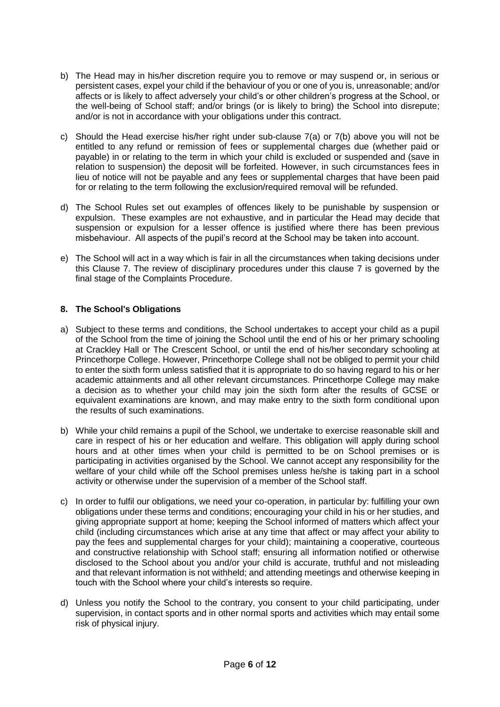- b) The Head may in his/her discretion require you to remove or may suspend or, in serious or persistent cases, expel your child if the behaviour of you or one of you is, unreasonable; and/or affects or is likely to affect adversely your child's or other children's progress at the School, or the well-being of School staff; and/or brings (or is likely to bring) the School into disrepute; and/or is not in accordance with your obligations under this contract.
- c) Should the Head exercise his/her right under sub-clause 7(a) or 7(b) above you will not be entitled to any refund or remission of fees or supplemental charges due (whether paid or payable) in or relating to the term in which your child is excluded or suspended and (save in relation to suspension) the deposit will be forfeited. However, in such circumstances fees in lieu of notice will not be payable and any fees or supplemental charges that have been paid for or relating to the term following the exclusion/required removal will be refunded.
- d) The School Rules set out examples of offences likely to be punishable by suspension or expulsion. These examples are not exhaustive, and in particular the Head may decide that suspension or expulsion for a lesser offence is justified where there has been previous misbehaviour. All aspects of the pupil's record at the School may be taken into account.
- e) The School will act in a way which is fair in all the circumstances when taking decisions under this Clause 7. The review of disciplinary procedures under this clause 7 is governed by the final stage of the Complaints Procedure.

# **8. The School's Obligations**

- a) Subject to these terms and conditions, the School undertakes to accept your child as a pupil of the School from the time of joining the School until the end of his or her primary schooling at Crackley Hall or The Crescent School, or until the end of his/her secondary schooling at Princethorpe College. However, Princethorpe College shall not be obliged to permit your child to enter the sixth form unless satisfied that it is appropriate to do so having regard to his or her academic attainments and all other relevant circumstances. Princethorpe College may make a decision as to whether your child may join the sixth form after the results of GCSE or equivalent examinations are known, and may make entry to the sixth form conditional upon the results of such examinations.
- b) While your child remains a pupil of the School, we undertake to exercise reasonable skill and care in respect of his or her education and welfare. This obligation will apply during school hours and at other times when your child is permitted to be on School premises or is participating in activities organised by the School. We cannot accept any responsibility for the welfare of your child while off the School premises unless he/she is taking part in a school activity or otherwise under the supervision of a member of the School staff.
- c) In order to fulfil our obligations, we need your co-operation, in particular by: fulfilling your own obligations under these terms and conditions; encouraging your child in his or her studies, and giving appropriate support at home; keeping the School informed of matters which affect your child (including circumstances which arise at any time that affect or may affect your ability to pay the fees and supplemental charges for your child); maintaining a cooperative, courteous and constructive relationship with School staff; ensuring all information notified or otherwise disclosed to the School about you and/or your child is accurate, truthful and not misleading and that relevant information is not withheld; and attending meetings and otherwise keeping in touch with the School where your child's interests so require.
- d) Unless you notify the School to the contrary, you consent to your child participating, under supervision, in contact sports and in other normal sports and activities which may entail some risk of physical injury.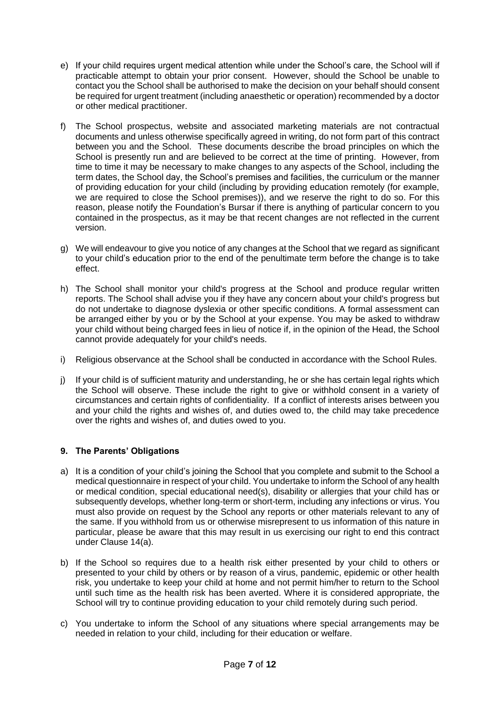- e) If your child requires urgent medical attention while under the School's care, the School will if practicable attempt to obtain your prior consent. However, should the School be unable to contact you the School shall be authorised to make the decision on your behalf should consent be required for urgent treatment (including anaesthetic or operation) recommended by a doctor or other medical practitioner.
- f) The School prospectus, website and associated marketing materials are not contractual documents and unless otherwise specifically agreed in writing, do not form part of this contract between you and the School. These documents describe the broad principles on which the School is presently run and are believed to be correct at the time of printing. However, from time to time it may be necessary to make changes to any aspects of the School, including the term dates, the School day, the School's premises and facilities, the curriculum or the manner of providing education for your child (including by providing education remotely (for example, we are required to close the School premises)), and we reserve the right to do so. For this reason, please notify the Foundation's Bursar if there is anything of particular concern to you contained in the prospectus, as it may be that recent changes are not reflected in the current version.
- g) We will endeavour to give you notice of any changes at the School that we regard as significant to your child's education prior to the end of the penultimate term before the change is to take effect.
- h) The School shall monitor your child's progress at the School and produce regular written reports. The School shall advise you if they have any concern about your child's progress but do not undertake to diagnose dyslexia or other specific conditions. A formal assessment can be arranged either by you or by the School at your expense. You may be asked to withdraw your child without being charged fees in lieu of notice if, in the opinion of the Head, the School cannot provide adequately for your child's needs.
- i) Religious observance at the School shall be conducted in accordance with the School Rules.
- j) If your child is of sufficient maturity and understanding, he or she has certain legal rights which the School will observe. These include the right to give or withhold consent in a variety of circumstances and certain rights of confidentiality. If a conflict of interests arises between you and your child the rights and wishes of, and duties owed to, the child may take precedence over the rights and wishes of, and duties owed to you.

# **9. The Parents' Obligations**

- a) It is a condition of your child's joining the School that you complete and submit to the School a medical questionnaire in respect of your child. You undertake to inform the School of any health or medical condition, special educational need(s), disability or allergies that your child has or subsequently develops, whether long-term or short-term, including any infections or virus. You must also provide on request by the School any reports or other materials relevant to any of the same. If you withhold from us or otherwise misrepresent to us information of this nature in particular, please be aware that this may result in us exercising our right to end this contract under Clause 14(a).
- b) If the School so requires due to a health risk either presented by your child to others or presented to your child by others or by reason of a virus, pandemic, epidemic or other health risk, you undertake to keep your child at home and not permit him/her to return to the School until such time as the health risk has been averted. Where it is considered appropriate, the School will try to continue providing education to your child remotely during such period.
- c) You undertake to inform the School of any situations where special arrangements may be needed in relation to your child, including for their education or welfare.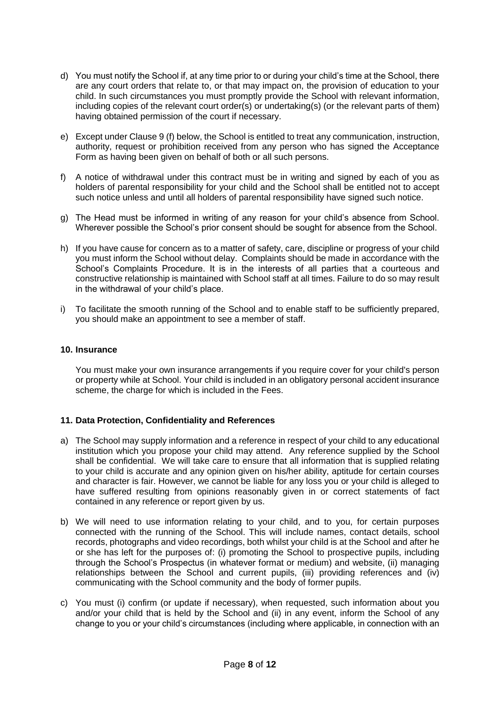- d) You must notify the School if, at any time prior to or during your child's time at the School, there are any court orders that relate to, or that may impact on, the provision of education to your child. In such circumstances you must promptly provide the School with relevant information, including copies of the relevant court order(s) or undertaking(s) (or the relevant parts of them) having obtained permission of the court if necessary.
- e) Except under Clause 9 (f) below, the School is entitled to treat any communication, instruction, authority, request or prohibition received from any person who has signed the Acceptance Form as having been given on behalf of both or all such persons.
- f) A notice of withdrawal under this contract must be in writing and signed by each of you as holders of parental responsibility for your child and the School shall be entitled not to accept such notice unless and until all holders of parental responsibility have signed such notice.
- g) The Head must be informed in writing of any reason for your child's absence from School. Wherever possible the School's prior consent should be sought for absence from the School.
- h) If you have cause for concern as to a matter of safety, care, discipline or progress of your child you must inform the School without delay. Complaints should be made in accordance with the School's Complaints Procedure. It is in the interests of all parties that a courteous and constructive relationship is maintained with School staff at all times. Failure to do so may result in the withdrawal of your child's place.
- i) To facilitate the smooth running of the School and to enable staff to be sufficiently prepared, you should make an appointment to see a member of staff.

#### **10. Insurance**

You must make your own insurance arrangements if you require cover for your child's person or property while at School. Your child is included in an obligatory personal accident insurance scheme, the charge for which is included in the Fees.

# **11. Data Protection, Confidentiality and References**

- a) The School may supply information and a reference in respect of your child to any educational institution which you propose your child may attend. Any reference supplied by the School shall be confidential. We will take care to ensure that all information that is supplied relating to your child is accurate and any opinion given on his/her ability, aptitude for certain courses and character is fair. However, we cannot be liable for any loss you or your child is alleged to have suffered resulting from opinions reasonably given in or correct statements of fact contained in any reference or report given by us.
- b) We will need to use information relating to your child, and to you, for certain purposes connected with the running of the School. This will include names, contact details, school records, photographs and video recordings, both whilst your child is at the School and after he or she has left for the purposes of: (i) promoting the School to prospective pupils, including through the School's Prospectus (in whatever format or medium) and website, (ii) managing relationships between the School and current pupils, (iii) providing references and (iv) communicating with the School community and the body of former pupils.
- c) You must (i) confirm (or update if necessary), when requested, such information about you and/or your child that is held by the School and (ii) in any event, inform the School of any change to you or your child's circumstances (including where applicable, in connection with an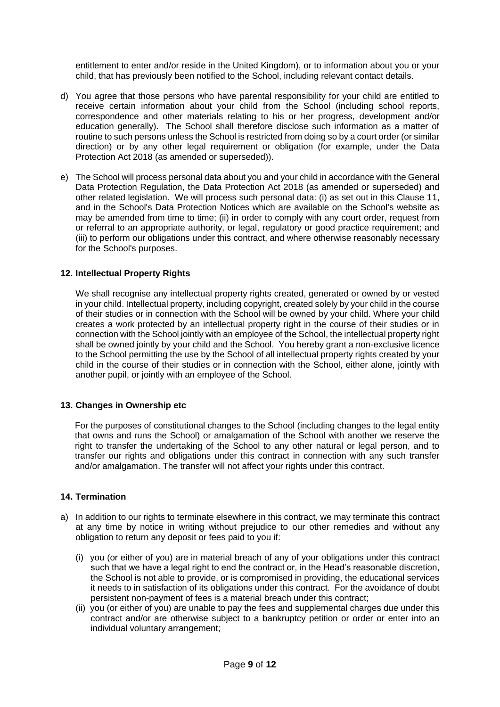entitlement to enter and/or reside in the United Kingdom), or to information about you or your child, that has previously been notified to the School, including relevant contact details.

- d) You agree that those persons who have parental responsibility for your child are entitled to receive certain information about your child from the School (including school reports, correspondence and other materials relating to his or her progress, development and/or education generally). The School shall therefore disclose such information as a matter of routine to such persons unless the School is restricted from doing so by a court order (or similar direction) or by any other legal requirement or obligation (for example, under the Data Protection Act 2018 (as amended or superseded)).
- e) The School will process personal data about you and your child in accordance with the General Data Protection Regulation, the Data Protection Act 2018 (as amended or superseded) and other related legislation. We will process such personal data: (i) as set out in this Clause 11, and in the School's Data Protection Notices which are available on the School's website as may be amended from time to time; (ii) in order to comply with any court order, request from or referral to an appropriate authority, or legal, regulatory or good practice requirement; and (iii) to perform our obligations under this contract, and where otherwise reasonably necessary for the School's purposes.

### **12. Intellectual Property Rights**

We shall recognise any intellectual property rights created, generated or owned by or vested in your child. Intellectual property, including copyright, created solely by your child in the course of their studies or in connection with the School will be owned by your child. Where your child creates a work protected by an intellectual property right in the course of their studies or in connection with the School jointly with an employee of the School, the intellectual property right shall be owned jointly by your child and the School. You hereby grant a non-exclusive licence to the School permitting the use by the School of all intellectual property rights created by your child in the course of their studies or in connection with the School, either alone, jointly with another pupil, or jointly with an employee of the School.

#### **13. Changes in Ownership etc**

For the purposes of constitutional changes to the School (including changes to the legal entity that owns and runs the School) or amalgamation of the School with another we reserve the right to transfer the undertaking of the School to any other natural or legal person, and to transfer our rights and obligations under this contract in connection with any such transfer and/or amalgamation. The transfer will not affect your rights under this contract.

#### **14. Termination**

- a) In addition to our rights to terminate elsewhere in this contract, we may terminate this contract at any time by notice in writing without prejudice to our other remedies and without any obligation to return any deposit or fees paid to you if:
	- (i) you (or either of you) are in material breach of any of your obligations under this contract such that we have a legal right to end the contract or, in the Head's reasonable discretion, the School is not able to provide, or is compromised in providing, the educational services it needs to in satisfaction of its obligations under this contract. For the avoidance of doubt persistent non-payment of fees is a material breach under this contract;
	- (ii) you (or either of you) are unable to pay the fees and supplemental charges due under this contract and/or are otherwise subject to a bankruptcy petition or order or enter into an individual voluntary arrangement;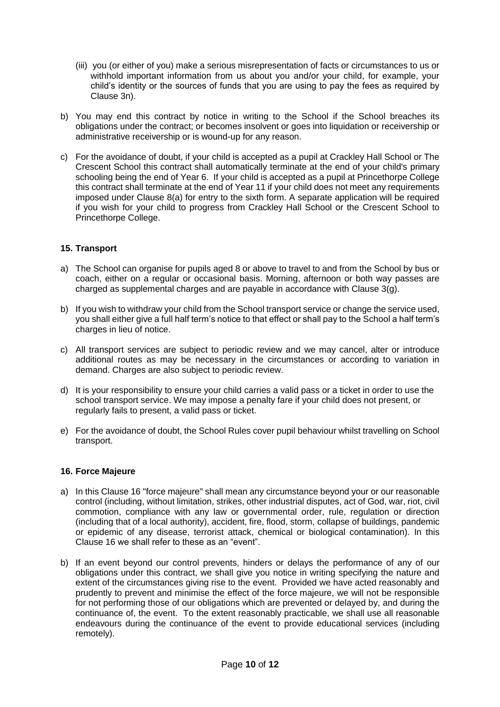- (iii) you (or either of you) make a serious misrepresentation of facts or circumstances to us or withhold important information from us about you and/or your child, for example, your child's identity or the sources of funds that you are using to pay the fees as required by Clause 3n).
- b) You may end this contract by notice in writing to the School if the School breaches its obligations under the contract; or becomes insolvent or goes into liquidation or receivership or administrative receivership or is wound-up for any reason.
- c) For the avoidance of doubt, if your child is accepted as a pupil at Crackley Hall School or The Crescent School this contract shall automatically terminate at the end of your child's primary schooling being the end of Year 6. If your child is accepted as a pupil at Princethorpe College this contract shall terminate at the end of Year 11 if your child does not meet any requirements imposed under Clause 8(a) for entry to the sixth form. A separate application will be required if you wish for your child to progress from Crackley Hall School or the Crescent School to Princethorpe College.

# **15. Transport**

- a) The School can organise for pupils aged 8 or above to travel to and from the School by bus or coach, either on a regular or occasional basis. Morning, afternoon or both way passes are charged as supplemental charges and are payable in accordance with Clause 3(g).
- b) If you wish to withdraw your child from the School transport service or change the service used, you shall either give a full half term's notice to that effect or shall pay to the School a half term's charges in lieu of notice.
- c) All transport services are subject to periodic review and we may cancel, alter or introduce additional routes as may be necessary in the circumstances or according to variation in demand. Charges are also subject to periodic review.
- d) It is your responsibility to ensure your child carries a valid pass or a ticket in order to use the school transport service. We may impose a penalty fare if your child does not present, or regularly fails to present, a valid pass or ticket.
- e) For the avoidance of doubt, the School Rules cover pupil behaviour whilst travelling on School transport.

#### **16. Force Majeure**

- a) In this Clause 16 "force majeure" shall mean any circumstance beyond your or our reasonable control (including, without limitation, strikes, other industrial disputes, act of God, war, riot, civil commotion, compliance with any law or governmental order, rule, regulation or direction (including that of a local authority), accident, fire, flood, storm, collapse of buildings, pandemic or epidemic of any disease, terrorist attack, chemical or biological contamination). In this Clause 16 we shall refer to these as an "event".
- b) If an event beyond our control prevents, hinders or delays the performance of any of our obligations under this contract, we shall give you notice in writing specifying the nature and extent of the circumstances giving rise to the event. Provided we have acted reasonably and prudently to prevent and minimise the effect of the force majeure, we will not be responsible for not performing those of our obligations which are prevented or delayed by, and during the continuance of, the event. To the extent reasonably practicable, we shall use all reasonable endeavours during the continuance of the event to provide educational services (including remotely).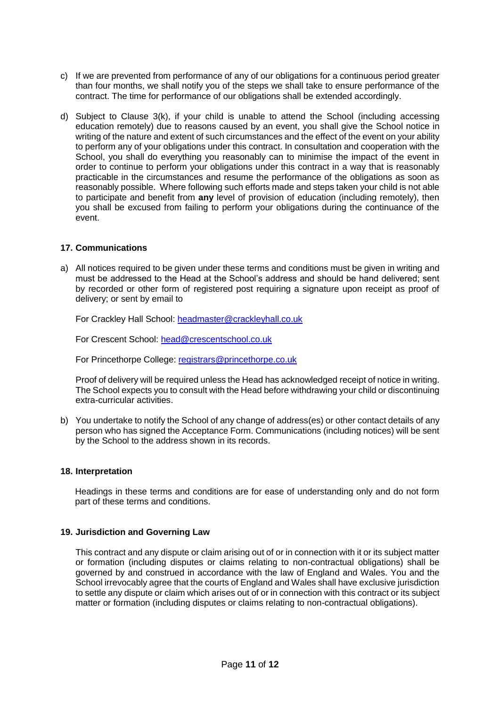- c) If we are prevented from performance of any of our obligations for a continuous period greater than four months, we shall notify you of the steps we shall take to ensure performance of the contract. The time for performance of our obligations shall be extended accordingly.
- d) Subject to Clause 3(k), if your child is unable to attend the School (including accessing education remotely) due to reasons caused by an event, you shall give the School notice in writing of the nature and extent of such circumstances and the effect of the event on your ability to perform any of your obligations under this contract. In consultation and cooperation with the School, you shall do everything you reasonably can to minimise the impact of the event in order to continue to perform your obligations under this contract in a way that is reasonably practicable in the circumstances and resume the performance of the obligations as soon as reasonably possible. Where following such efforts made and steps taken your child is not able to participate and benefit from **any** level of provision of education (including remotely), then you shall be excused from failing to perform your obligations during the continuance of the event.

### **17. Communications**

a) All notices required to be given under these terms and conditions must be given in writing and must be addressed to the Head at the School's address and should be hand delivered; sent by recorded or other form of registered post requiring a signature upon receipt as proof of delivery; or sent by email to

For Crackley Hall School: [headmaster@crackleyhall.co.uk](mailto:headmaster@crackleyhall.co.uk)

For Crescent School: [head@crescentschool.co.uk](mailto:head@crescentschool.co.uk)

For Princethorpe College: [registrars@princethorpe.co.uk](mailto:registrars@princethorpe.co.uk)

Proof of delivery will be required unless the Head has acknowledged receipt of notice in writing. The School expects you to consult with the Head before withdrawing your child or discontinuing extra-curricular activities.

b) You undertake to notify the School of any change of address(es) or other contact details of any person who has signed the Acceptance Form. Communications (including notices) will be sent by the School to the address shown in its records.

#### **18. Interpretation**

Headings in these terms and conditions are for ease of understanding only and do not form part of these terms and conditions.

#### **19. Jurisdiction and Governing Law**

This contract and any dispute or claim arising out of or in connection with it or its subject matter or formation (including disputes or claims relating to non-contractual obligations) shall be governed by and construed in accordance with the law of England and Wales. You and the School irrevocably agree that the courts of England and Wales shall have exclusive jurisdiction to settle any dispute or claim which arises out of or in connection with this contract or its subject matter or formation (including disputes or claims relating to non-contractual obligations).